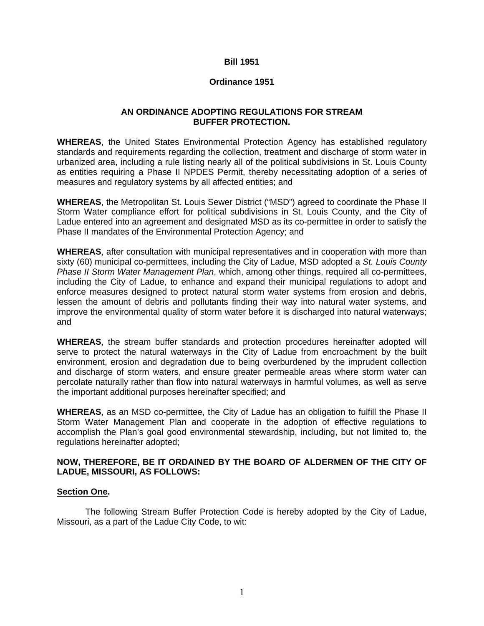#### **Bill 1951**

#### **Ordinance 1951**

#### **AN ORDINANCE ADOPTING REGULATIONS FOR STREAM BUFFER PROTECTION.**

**WHEREAS**, the United States Environmental Protection Agency has established regulatory standards and requirements regarding the collection, treatment and discharge of storm water in urbanized area, including a rule listing nearly all of the political subdivisions in St. Louis County as entities requiring a Phase II NPDES Permit, thereby necessitating adoption of a series of measures and regulatory systems by all affected entities; and

**WHEREAS**, the Metropolitan St. Louis Sewer District ("MSD") agreed to coordinate the Phase II Storm Water compliance effort for political subdivisions in St. Louis County, and the City of Ladue entered into an agreement and designated MSD as its co-permittee in order to satisfy the Phase II mandates of the Environmental Protection Agency; and

**WHEREAS**, after consultation with municipal representatives and in cooperation with more than sixty (60) municipal co-permittees, including the City of Ladue, MSD adopted a *St. Louis County Phase II Storm Water Management Plan*, which, among other things, required all co-permittees, including the City of Ladue, to enhance and expand their municipal regulations to adopt and enforce measures designed to protect natural storm water systems from erosion and debris, lessen the amount of debris and pollutants finding their way into natural water systems, and improve the environmental quality of storm water before it is discharged into natural waterways; and

**WHEREAS**, the stream buffer standards and protection procedures hereinafter adopted will serve to protect the natural waterways in the City of Ladue from encroachment by the built environment, erosion and degradation due to being overburdened by the imprudent collection and discharge of storm waters, and ensure greater permeable areas where storm water can percolate naturally rather than flow into natural waterways in harmful volumes, as well as serve the important additional purposes hereinafter specified; and

**WHEREAS**, as an MSD co-permittee, the City of Ladue has an obligation to fulfill the Phase II Storm Water Management Plan and cooperate in the adoption of effective regulations to accomplish the Plan's goal good environmental stewardship, including, but not limited to, the regulations hereinafter adopted;

#### **NOW, THEREFORE, BE IT ORDAINED BY THE BOARD OF ALDERMEN OF THE CITY OF LADUE, MISSOURI, AS FOLLOWS:**

#### **Section One.**

The following Stream Buffer Protection Code is hereby adopted by the City of Ladue, Missouri, as a part of the Ladue City Code, to wit: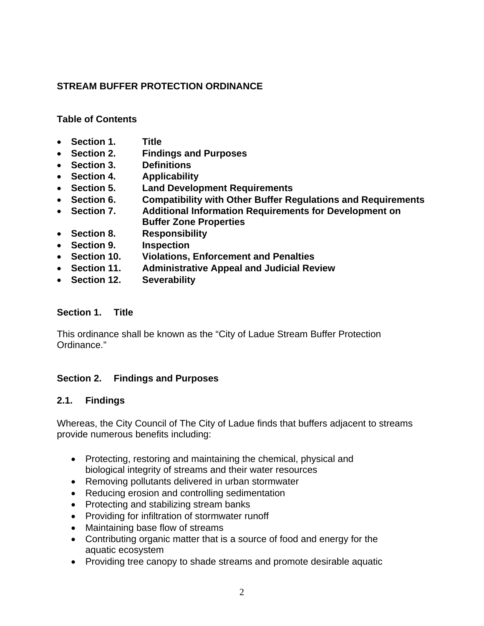## **STREAM BUFFER PROTECTION ORDINANCE**

#### **Table of Contents**

- **Section 1. Title**
- **Section 2. Findings and Purposes**
- **Section 3. Definitions**
- **Section 4. Applicability**
- **Section 5. Land Development Requirements**
- **Section 6. Compatibility with Other Buffer Regulations and Requirements**
- **Section 7. Additional Information Requirements for Development on Buffer Zone Properties**
- **Section 8. Responsibility**
- **Section 9. Inspection**
- **Section 10. Violations, Enforcement and Penalties**
- **Section 11. Administrative Appeal and Judicial Review**
- **Section 12. Severability**

#### **Section 1. Title**

This ordinance shall be known as the "City of Ladue Stream Buffer Protection Ordinance."

#### **Section 2. Findings and Purposes**

#### **2.1. Findings**

Whereas, the City Council of The City of Ladue finds that buffers adjacent to streams provide numerous benefits including:

- Protecting, restoring and maintaining the chemical, physical and biological integrity of streams and their water resources
- Removing pollutants delivered in urban stormwater
- Reducing erosion and controlling sedimentation
- Protecting and stabilizing stream banks
- Providing for infiltration of stormwater runoff
- Maintaining base flow of streams
- Contributing organic matter that is a source of food and energy for the aquatic ecosystem
- Providing tree canopy to shade streams and promote desirable aquatic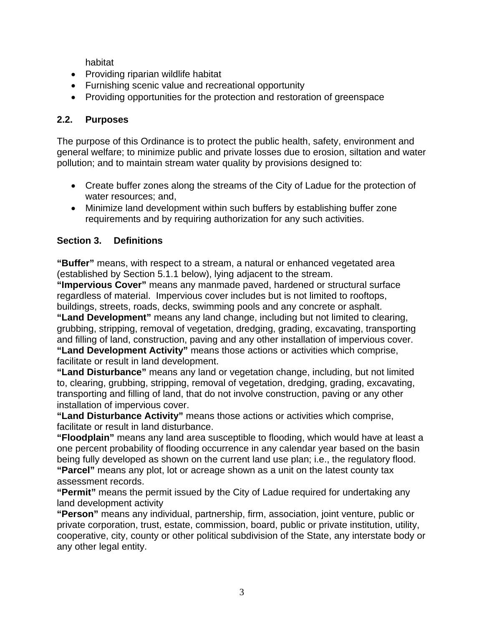habitat

- Providing riparian wildlife habitat
- Furnishing scenic value and recreational opportunity
- Providing opportunities for the protection and restoration of greenspace

## **2.2. Purposes**

The purpose of this Ordinance is to protect the public health, safety, environment and general welfare; to minimize public and private losses due to erosion, siltation and water pollution; and to maintain stream water quality by provisions designed to:

- Create buffer zones along the streams of the City of Ladue for the protection of water resources; and,
- Minimize land development within such buffers by establishing buffer zone requirements and by requiring authorization for any such activities.

# **Section 3. Definitions**

**"Buffer"** means, with respect to a stream, a natural or enhanced vegetated area (established by Section 5.1.1 below), lying adjacent to the stream.

**"Impervious Cover"** means any manmade paved, hardened or structural surface regardless of material. Impervious cover includes but is not limited to rooftops, buildings, streets, roads, decks, swimming pools and any concrete or asphalt.

**"Land Development"** means any land change, including but not limited to clearing, grubbing, stripping, removal of vegetation, dredging, grading, excavating, transporting and filling of land, construction, paving and any other installation of impervious cover. **"Land Development Activity"** means those actions or activities which comprise, facilitate or result in land development.

**"Land Disturbance"** means any land or vegetation change, including, but not limited to, clearing, grubbing, stripping, removal of vegetation, dredging, grading, excavating, transporting and filling of land, that do not involve construction, paving or any other installation of impervious cover.

**"Land Disturbance Activity"** means those actions or activities which comprise, facilitate or result in land disturbance.

**"Floodplain"** means any land area susceptible to flooding, which would have at least a one percent probability of flooding occurrence in any calendar year based on the basin being fully developed as shown on the current land use plan; i.e., the regulatory flood. **"Parcel"** means any plot, lot or acreage shown as a unit on the latest county tax assessment records.

**"Permit"** means the permit issued by the City of Ladue required for undertaking any land development activity

**"Person"** means any individual, partnership, firm, association, joint venture, public or private corporation, trust, estate, commission, board, public or private institution, utility, cooperative, city, county or other political subdivision of the State, any interstate body or any other legal entity.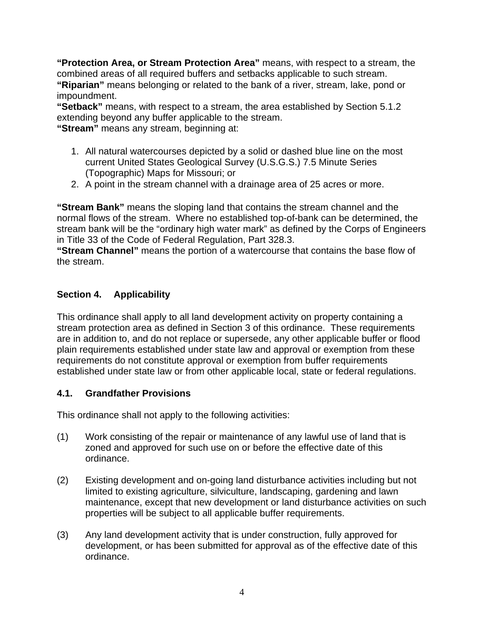**"Protection Area, or Stream Protection Area"** means, with respect to a stream, the combined areas of all required buffers and setbacks applicable to such stream. **"Riparian"** means belonging or related to the bank of a river, stream, lake, pond or impoundment.

**"Setback"** means, with respect to a stream, the area established by Section 5.1.2 extending beyond any buffer applicable to the stream.

**"Stream"** means any stream, beginning at:

- 1. All natural watercourses depicted by a solid or dashed blue line on the most current United States Geological Survey (U.S.G.S.) 7.5 Minute Series (Topographic) Maps for Missouri; or
- 2. A point in the stream channel with a drainage area of 25 acres or more.

**"Stream Bank"** means the sloping land that contains the stream channel and the normal flows of the stream. Where no established top-of-bank can be determined, the stream bank will be the "ordinary high water mark" as defined by the Corps of Engineers in Title 33 of the Code of Federal Regulation, Part 328.3.

**"Stream Channel"** means the portion of a watercourse that contains the base flow of the stream.

## **Section 4. Applicability**

This ordinance shall apply to all land development activity on property containing a stream protection area as defined in Section 3 of this ordinance. These requirements are in addition to, and do not replace or supersede, any other applicable buffer or flood plain requirements established under state law and approval or exemption from these requirements do not constitute approval or exemption from buffer requirements established under state law or from other applicable local, state or federal regulations.

#### **4.1. Grandfather Provisions**

This ordinance shall not apply to the following activities:

- (1) Work consisting of the repair or maintenance of any lawful use of land that is zoned and approved for such use on or before the effective date of this ordinance.
- (2) Existing development and on-going land disturbance activities including but not limited to existing agriculture, silviculture, landscaping, gardening and lawn maintenance, except that new development or land disturbance activities on such properties will be subject to all applicable buffer requirements.
- (3) Any land development activity that is under construction, fully approved for development, or has been submitted for approval as of the effective date of this ordinance.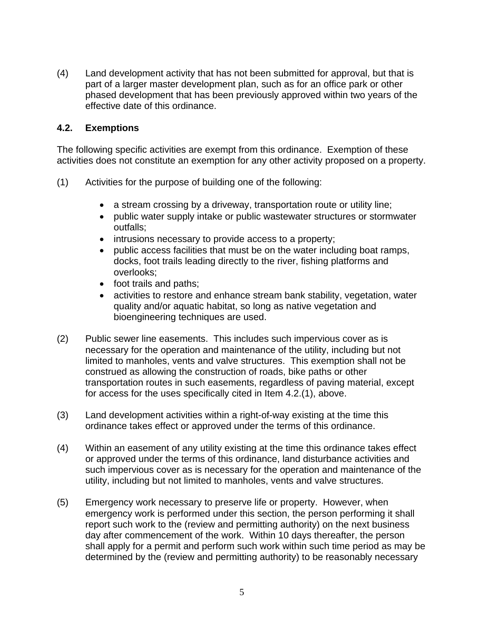(4) Land development activity that has not been submitted for approval, but that is part of a larger master development plan, such as for an office park or other phased development that has been previously approved within two years of the effective date of this ordinance.

#### **4.2. Exemptions**

The following specific activities are exempt from this ordinance. Exemption of these activities does not constitute an exemption for any other activity proposed on a property.

- (1) Activities for the purpose of building one of the following:
	- a stream crossing by a driveway, transportation route or utility line;
	- public water supply intake or public wastewater structures or stormwater outfalls;
	- intrusions necessary to provide access to a property;
	- public access facilities that must be on the water including boat ramps, docks, foot trails leading directly to the river, fishing platforms and overlooks;
	- foot trails and paths;
	- activities to restore and enhance stream bank stability, vegetation, water quality and/or aquatic habitat, so long as native vegetation and bioengineering techniques are used.
- (2) Public sewer line easements. This includes such impervious cover as is necessary for the operation and maintenance of the utility, including but not limited to manholes, vents and valve structures. This exemption shall not be construed as allowing the construction of roads, bike paths or other transportation routes in such easements, regardless of paving material, except for access for the uses specifically cited in Item 4.2.(1), above.
- (3) Land development activities within a right-of-way existing at the time this ordinance takes effect or approved under the terms of this ordinance.
- (4) Within an easement of any utility existing at the time this ordinance takes effect or approved under the terms of this ordinance, land disturbance activities and such impervious cover as is necessary for the operation and maintenance of the utility, including but not limited to manholes, vents and valve structures.
- (5) Emergency work necessary to preserve life or property. However, when emergency work is performed under this section, the person performing it shall report such work to the (review and permitting authority) on the next business day after commencement of the work. Within 10 days thereafter, the person shall apply for a permit and perform such work within such time period as may be determined by the (review and permitting authority) to be reasonably necessary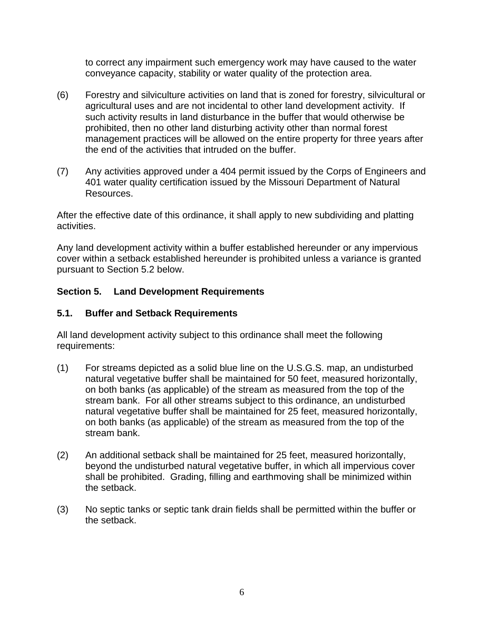to correct any impairment such emergency work may have caused to the water conveyance capacity, stability or water quality of the protection area.

- (6) Forestry and silviculture activities on land that is zoned for forestry, silvicultural or agricultural uses and are not incidental to other land development activity. If such activity results in land disturbance in the buffer that would otherwise be prohibited, then no other land disturbing activity other than normal forest management practices will be allowed on the entire property for three years after the end of the activities that intruded on the buffer.
- (7) Any activities approved under a 404 permit issued by the Corps of Engineers and 401 water quality certification issued by the Missouri Department of Natural Resources.

After the effective date of this ordinance, it shall apply to new subdividing and platting activities.

Any land development activity within a buffer established hereunder or any impervious cover within a setback established hereunder is prohibited unless a variance is granted pursuant to Section 5.2 below.

## **Section 5. Land Development Requirements**

## **5.1. Buffer and Setback Requirements**

All land development activity subject to this ordinance shall meet the following requirements:

- (1) For streams depicted as a solid blue line on the U.S.G.S. map, an undisturbed natural vegetative buffer shall be maintained for 50 feet, measured horizontally, on both banks (as applicable) of the stream as measured from the top of the stream bank. For all other streams subject to this ordinance, an undisturbed natural vegetative buffer shall be maintained for 25 feet, measured horizontally, on both banks (as applicable) of the stream as measured from the top of the stream bank.
- (2) An additional setback shall be maintained for 25 feet, measured horizontally, beyond the undisturbed natural vegetative buffer, in which all impervious cover shall be prohibited. Grading, filling and earthmoving shall be minimized within the setback.
- (3) No septic tanks or septic tank drain fields shall be permitted within the buffer or the setback.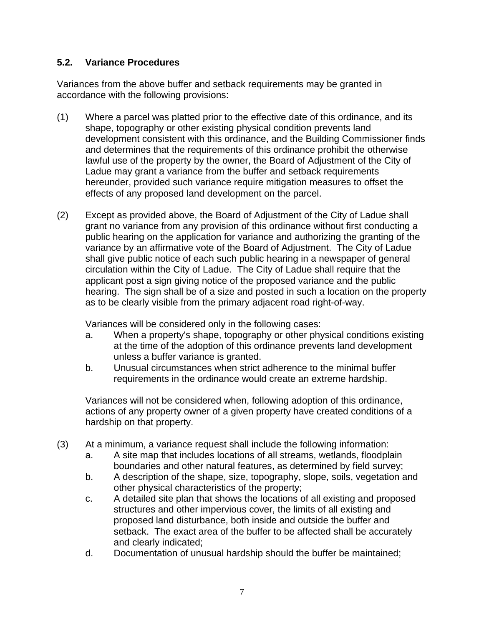## **5.2. Variance Procedures**

Variances from the above buffer and setback requirements may be granted in accordance with the following provisions:

- (1) Where a parcel was platted prior to the effective date of this ordinance, and its shape, topography or other existing physical condition prevents land development consistent with this ordinance, and the Building Commissioner finds and determines that the requirements of this ordinance prohibit the otherwise lawful use of the property by the owner, the Board of Adjustment of the City of Ladue may grant a variance from the buffer and setback requirements hereunder, provided such variance require mitigation measures to offset the effects of any proposed land development on the parcel.
- (2) Except as provided above, the Board of Adjustment of the City of Ladue shall grant no variance from any provision of this ordinance without first conducting a public hearing on the application for variance and authorizing the granting of the variance by an affirmative vote of the Board of Adjustment. The City of Ladue shall give public notice of each such public hearing in a newspaper of general circulation within the City of Ladue. The City of Ladue shall require that the applicant post a sign giving notice of the proposed variance and the public hearing. The sign shall be of a size and posted in such a location on the property as to be clearly visible from the primary adjacent road right-of-way.

Variances will be considered only in the following cases:

- a. When a property's shape, topography or other physical conditions existing at the time of the adoption of this ordinance prevents land development unless a buffer variance is granted.
- b. Unusual circumstances when strict adherence to the minimal buffer requirements in the ordinance would create an extreme hardship.

Variances will not be considered when, following adoption of this ordinance, actions of any property owner of a given property have created conditions of a hardship on that property.

- (3) At a minimum, a variance request shall include the following information:
	- a. A site map that includes locations of all streams, wetlands, floodplain boundaries and other natural features, as determined by field survey;
	- b. A description of the shape, size, topography, slope, soils, vegetation and other physical characteristics of the property;
	- c. A detailed site plan that shows the locations of all existing and proposed structures and other impervious cover, the limits of all existing and proposed land disturbance, both inside and outside the buffer and setback. The exact area of the buffer to be affected shall be accurately and clearly indicated;
	- d. Documentation of unusual hardship should the buffer be maintained;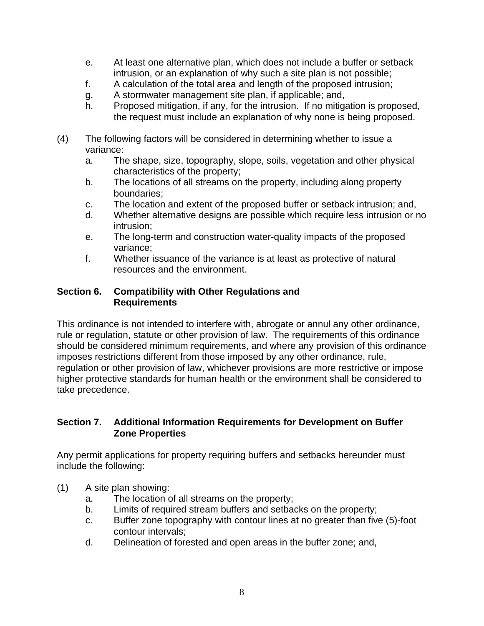- e. At least one alternative plan, which does not include a buffer or setback intrusion, or an explanation of why such a site plan is not possible;
- f. A calculation of the total area and length of the proposed intrusion;
- g. A stormwater management site plan, if applicable; and,
- h. Proposed mitigation, if any, for the intrusion. If no mitigation is proposed, the request must include an explanation of why none is being proposed.
- (4) The following factors will be considered in determining whether to issue a variance:
	- a. The shape, size, topography, slope, soils, vegetation and other physical characteristics of the property;
	- b. The locations of all streams on the property, including along property boundaries;
	- c. The location and extent of the proposed buffer or setback intrusion; and,
	- d. Whether alternative designs are possible which require less intrusion or no intrusion;
	- e. The long-term and construction water-quality impacts of the proposed variance;
	- f. Whether issuance of the variance is at least as protective of natural resources and the environment.

## **Section 6. Compatibility with Other Regulations and Requirements**

This ordinance is not intended to interfere with, abrogate or annul any other ordinance, rule or regulation, statute or other provision of law. The requirements of this ordinance should be considered minimum requirements, and where any provision of this ordinance imposes restrictions different from those imposed by any other ordinance, rule, regulation or other provision of law, whichever provisions are more restrictive or impose higher protective standards for human health or the environment shall be considered to take precedence.

## **Section 7. Additional Information Requirements for Development on Buffer Zone Properties**

Any permit applications for property requiring buffers and setbacks hereunder must include the following:

- (1) A site plan showing:
	- a. The location of all streams on the property;
	- b. Limits of required stream buffers and setbacks on the property;
	- c. Buffer zone topography with contour lines at no greater than five (5)-foot contour intervals;
	- d. Delineation of forested and open areas in the buffer zone; and,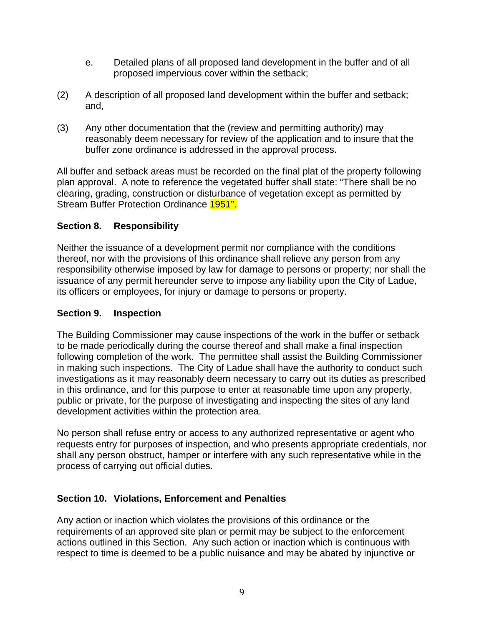- e. Detailed plans of all proposed land development in the buffer and of all proposed impervious cover within the setback;
- (2) A description of all proposed land development within the buffer and setback; and,
- (3) Any other documentation that the (review and permitting authority) may reasonably deem necessary for review of the application and to insure that the buffer zone ordinance is addressed in the approval process.

All buffer and setback areas must be recorded on the final plat of the property following plan approval. A note to reference the vegetated buffer shall state: "There shall be no clearing, grading, construction or disturbance of vegetation except as permitted by Stream Buffer Protection Ordinance 1951".

## **Section 8. Responsibility**

Neither the issuance of a development permit nor compliance with the conditions thereof, nor with the provisions of this ordinance shall relieve any person from any responsibility otherwise imposed by law for damage to persons or property; nor shall the issuance of any permit hereunder serve to impose any liability upon the City of Ladue, its officers or employees, for injury or damage to persons or property.

## **Section 9. Inspection**

The Building Commissioner may cause inspections of the work in the buffer or setback to be made periodically during the course thereof and shall make a final inspection following completion of the work. The permittee shall assist the Building Commissioner in making such inspections. The City of Ladue shall have the authority to conduct such investigations as it may reasonably deem necessary to carry out its duties as prescribed in this ordinance, and for this purpose to enter at reasonable time upon any property, public or private, for the purpose of investigating and inspecting the sites of any land development activities within the protection area.

No person shall refuse entry or access to any authorized representative or agent who requests entry for purposes of inspection, and who presents appropriate credentials, nor shall any person obstruct, hamper or interfere with any such representative while in the process of carrying out official duties.

# **Section 10. Violations, Enforcement and Penalties**

Any action or inaction which violates the provisions of this ordinance or the requirements of an approved site plan or permit may be subject to the enforcement actions outlined in this Section. Any such action or inaction which is continuous with respect to time is deemed to be a public nuisance and may be abated by injunctive or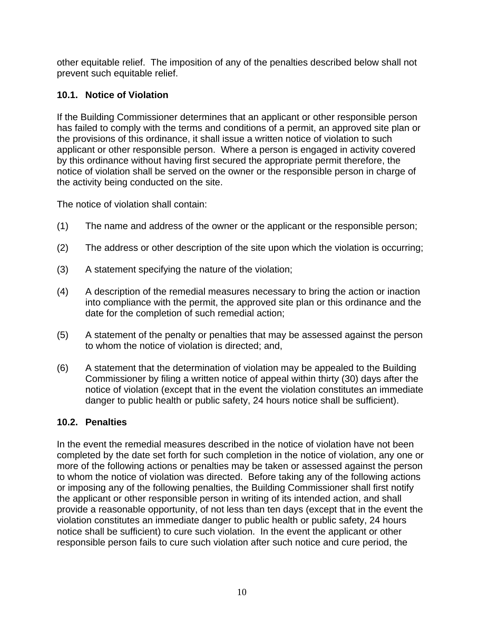other equitable relief. The imposition of any of the penalties described below shall not prevent such equitable relief.

# **10.1. Notice of Violation**

If the Building Commissioner determines that an applicant or other responsible person has failed to comply with the terms and conditions of a permit, an approved site plan or the provisions of this ordinance, it shall issue a written notice of violation to such applicant or other responsible person. Where a person is engaged in activity covered by this ordinance without having first secured the appropriate permit therefore, the notice of violation shall be served on the owner or the responsible person in charge of the activity being conducted on the site.

The notice of violation shall contain:

- (1) The name and address of the owner or the applicant or the responsible person;
- (2) The address or other description of the site upon which the violation is occurring;
- (3) A statement specifying the nature of the violation;
- (4) A description of the remedial measures necessary to bring the action or inaction into compliance with the permit, the approved site plan or this ordinance and the date for the completion of such remedial action;
- (5) A statement of the penalty or penalties that may be assessed against the person to whom the notice of violation is directed; and,
- (6) A statement that the determination of violation may be appealed to the Building Commissioner by filing a written notice of appeal within thirty (30) days after the notice of violation (except that in the event the violation constitutes an immediate danger to public health or public safety, 24 hours notice shall be sufficient).

## **10.2. Penalties**

In the event the remedial measures described in the notice of violation have not been completed by the date set forth for such completion in the notice of violation, any one or more of the following actions or penalties may be taken or assessed against the person to whom the notice of violation was directed. Before taking any of the following actions or imposing any of the following penalties, the Building Commissioner shall first notify the applicant or other responsible person in writing of its intended action, and shall provide a reasonable opportunity, of not less than ten days (except that in the event the violation constitutes an immediate danger to public health or public safety, 24 hours notice shall be sufficient) to cure such violation. In the event the applicant or other responsible person fails to cure such violation after such notice and cure period, the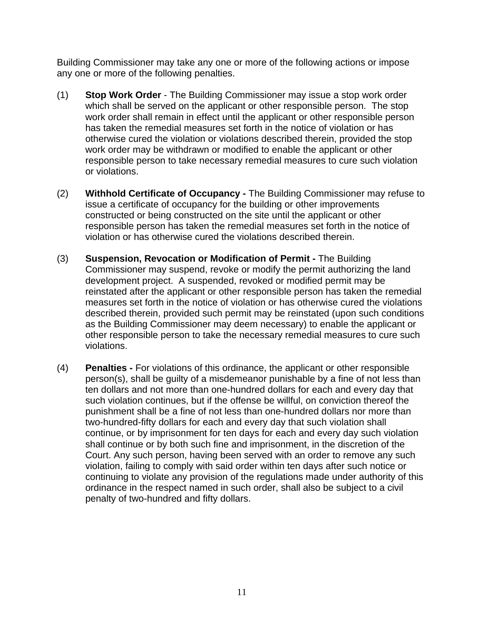Building Commissioner may take any one or more of the following actions or impose any one or more of the following penalties.

- (1) **Stop Work Order** The Building Commissioner may issue a stop work order which shall be served on the applicant or other responsible person. The stop work order shall remain in effect until the applicant or other responsible person has taken the remedial measures set forth in the notice of violation or has otherwise cured the violation or violations described therein, provided the stop work order may be withdrawn or modified to enable the applicant or other responsible person to take necessary remedial measures to cure such violation or violations.
- (2) **Withhold Certificate of Occupancy** The Building Commissioner may refuse to issue a certificate of occupancy for the building or other improvements constructed or being constructed on the site until the applicant or other responsible person has taken the remedial measures set forth in the notice of violation or has otherwise cured the violations described therein.
- (3) **Suspension, Revocation or Modification of Permit** The Building Commissioner may suspend, revoke or modify the permit authorizing the land development project. A suspended, revoked or modified permit may be reinstated after the applicant or other responsible person has taken the remedial measures set forth in the notice of violation or has otherwise cured the violations described therein, provided such permit may be reinstated (upon such conditions as the Building Commissioner may deem necessary) to enable the applicant or other responsible person to take the necessary remedial measures to cure such violations.
- (4) **Penalties** For violations of this ordinance, the applicant or other responsible person(s), shall be guilty of a misdemeanor punishable by a fine of not less than ten dollars and not more than one-hundred dollars for each and every day that such violation continues, but if the offense be willful, on conviction thereof the punishment shall be a fine of not less than one-hundred dollars nor more than two-hundred-fifty dollars for each and every day that such violation shall continue, or by imprisonment for ten days for each and every day such violation shall continue or by both such fine and imprisonment, in the discretion of the Court. Any such person, having been served with an order to remove any such violation, failing to comply with said order within ten days after such notice or continuing to violate any provision of the regulations made under authority of this ordinance in the respect named in such order, shall also be subject to a civil penalty of two-hundred and fifty dollars.